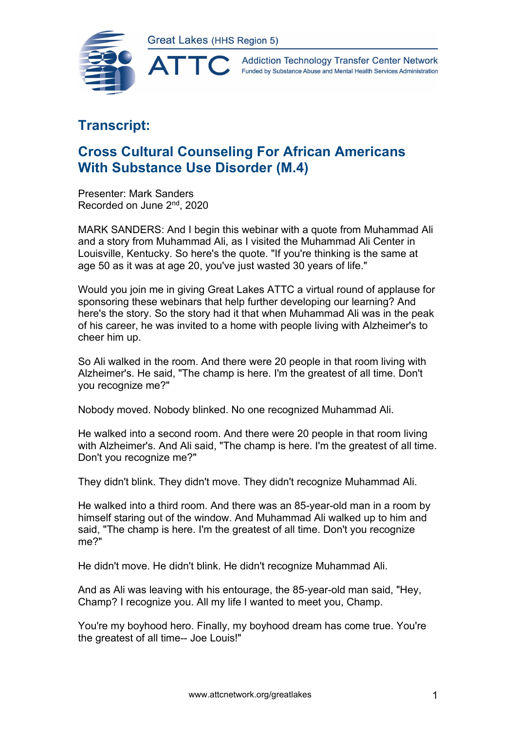

**Addiction Technology Transfer Center Network** Funded by Substance Abuse and Mental Health Services Administration

## **Transcript:**

## **Cross Cultural Counseling For African Americans With Substance Use Disorder (M.4)**

Presenter: Mark Sanders Recorded on June 2nd, 2020

MARK SANDERS: And I begin this webinar with a quote from Muhammad Ali and a story from Muhammad Ali, as I visited the Muhammad Ali Center in Louisville, Kentucky. So here's the quote. "If you're thinking is the same at age 50 as it was at age 20, you've just wasted 30 years of life."

Would you join me in giving Great Lakes ATTC a virtual round of applause for sponsoring these webinars that help further developing our learning? And here's the story. So the story had it that when Muhammad Ali was in the peak of his career, he was invited to a home with people living with Alzheimer's to cheer him up.

So Ali walked in the room. And there were 20 people in that room living with Alzheimer's. He said, "The champ is here. I'm the greatest of all time. Don't you recognize me?"

Nobody moved. Nobody blinked. No one recognized Muhammad Ali.

He walked into a second room. And there were 20 people in that room living with Alzheimer's. And Ali said, "The champ is here. I'm the greatest of all time. Don't you recognize me?"

They didn't blink. They didn't move. They didn't recognize Muhammad Ali.

He walked into a third room. And there was an 85-year-old man in a room by himself staring out of the window. And Muhammad Ali walked up to him and said, "The champ is here. I'm the greatest of all time. Don't you recognize me?"

He didn't move. He didn't blink. He didn't recognize Muhammad Ali.

And as Ali was leaving with his entourage, the 85-year-old man said, "Hey, Champ? I recognize you. All my life I wanted to meet you, Champ.

You're my boyhood hero. Finally, my boyhood dream has come true. You're the greatest of all time-- Joe Louis!"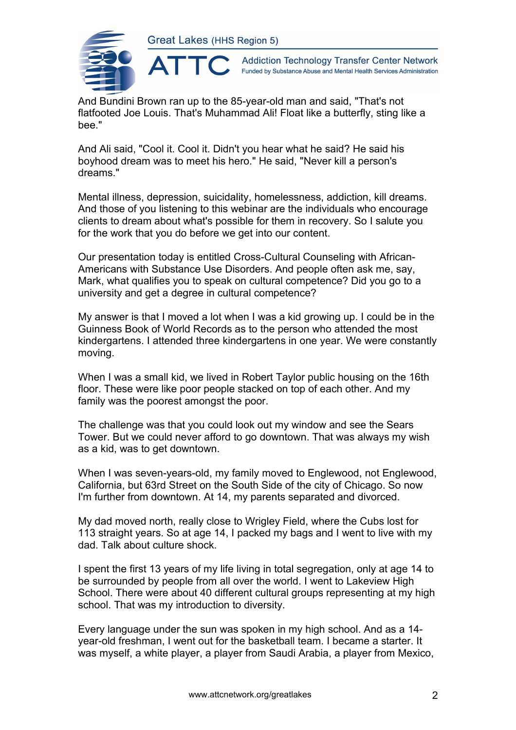

**Addiction Technology Transfer Center Network** Funded by Substance Abuse and Mental Health Services Administration

And Bundini Brown ran up to the 85-year-old man and said, "That's not flatfooted Joe Louis. That's Muhammad Ali! Float like a butterfly, sting like a bee."

And Ali said, "Cool it. Cool it. Didn't you hear what he said? He said his boyhood dream was to meet his hero." He said, "Never kill a person's dreams."

Mental illness, depression, suicidality, homelessness, addiction, kill dreams. And those of you listening to this webinar are the individuals who encourage clients to dream about what's possible for them in recovery. So I salute you for the work that you do before we get into our content.

Our presentation today is entitled Cross-Cultural Counseling with African-Americans with Substance Use Disorders. And people often ask me, say, Mark, what qualifies you to speak on cultural competence? Did you go to a university and get a degree in cultural competence?

My answer is that I moved a lot when I was a kid growing up. I could be in the Guinness Book of World Records as to the person who attended the most kindergartens. I attended three kindergartens in one year. We were constantly moving.

When I was a small kid, we lived in Robert Taylor public housing on the 16th floor. These were like poor people stacked on top of each other. And my family was the poorest amongst the poor.

The challenge was that you could look out my window and see the Sears Tower. But we could never afford to go downtown. That was always my wish as a kid, was to get downtown.

When I was seven-years-old, my family moved to Englewood, not Englewood, California, but 63rd Street on the South Side of the city of Chicago. So now I'm further from downtown. At 14, my parents separated and divorced.

My dad moved north, really close to Wrigley Field, where the Cubs lost for 113 straight years. So at age 14, I packed my bags and I went to live with my dad. Talk about culture shock.

I spent the first 13 years of my life living in total segregation, only at age 14 to be surrounded by people from all over the world. I went to Lakeview High School. There were about 40 different cultural groups representing at my high school. That was my introduction to diversity.

Every language under the sun was spoken in my high school. And as a 14 year-old freshman, I went out for the basketball team. I became a starter. It was myself, a white player, a player from Saudi Arabia, a player from Mexico,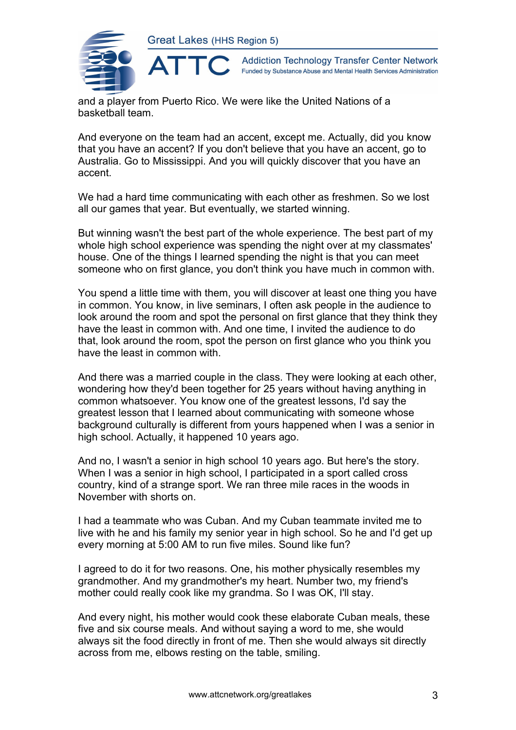

**Addiction Technology Transfer Center Network** Funded by Substance Abuse and Mental Health Services Administration

and a player from Puerto Rico. We were like the United Nations of a basketball team.

And everyone on the team had an accent, except me. Actually, did you know that you have an accent? If you don't believe that you have an accent, go to Australia. Go to Mississippi. And you will quickly discover that you have an accent.

We had a hard time communicating with each other as freshmen. So we lost all our games that year. But eventually, we started winning.

But winning wasn't the best part of the whole experience. The best part of my whole high school experience was spending the night over at my classmates' house. One of the things I learned spending the night is that you can meet someone who on first glance, you don't think you have much in common with.

You spend a little time with them, you will discover at least one thing you have in common. You know, in live seminars, I often ask people in the audience to look around the room and spot the personal on first glance that they think they have the least in common with. And one time, I invited the audience to do that, look around the room, spot the person on first glance who you think you have the least in common with.

And there was a married couple in the class. They were looking at each other, wondering how they'd been together for 25 years without having anything in common whatsoever. You know one of the greatest lessons, I'd say the greatest lesson that I learned about communicating with someone whose background culturally is different from yours happened when I was a senior in high school. Actually, it happened 10 years ago.

And no, I wasn't a senior in high school 10 years ago. But here's the story. When I was a senior in high school, I participated in a sport called cross country, kind of a strange sport. We ran three mile races in the woods in November with shorts on.

I had a teammate who was Cuban. And my Cuban teammate invited me to live with he and his family my senior year in high school. So he and I'd get up every morning at 5:00 AM to run five miles. Sound like fun?

I agreed to do it for two reasons. One, his mother physically resembles my grandmother. And my grandmother's my heart. Number two, my friend's mother could really cook like my grandma. So I was OK, I'll stay.

And every night, his mother would cook these elaborate Cuban meals, these five and six course meals. And without saying a word to me, she would always sit the food directly in front of me. Then she would always sit directly across from me, elbows resting on the table, smiling.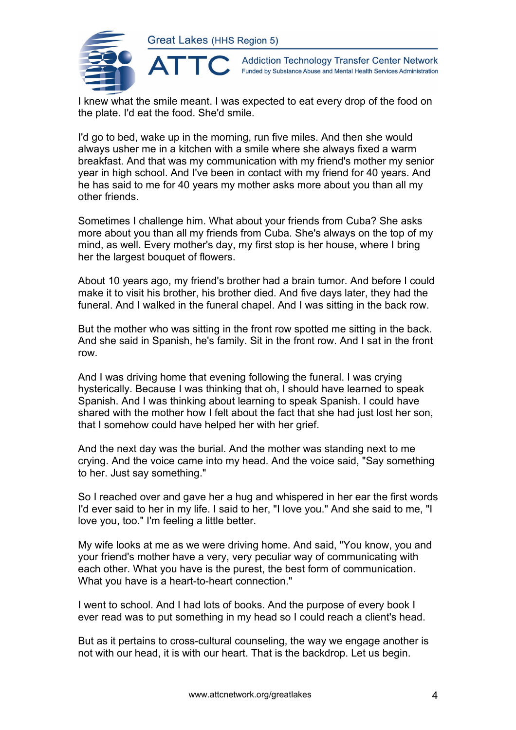

**Addiction Technology Transfer Center Network** Funded by Substance Abuse and Mental Health Services Administration

I knew what the smile meant. I was expected to eat every drop of the food on the plate. I'd eat the food. She'd smile.

I'd go to bed, wake up in the morning, run five miles. And then she would always usher me in a kitchen with a smile where she always fixed a warm breakfast. And that was my communication with my friend's mother my senior year in high school. And I've been in contact with my friend for 40 years. And he has said to me for 40 years my mother asks more about you than all my other friends.

Sometimes I challenge him. What about your friends from Cuba? She asks more about you than all my friends from Cuba. She's always on the top of my mind, as well. Every mother's day, my first stop is her house, where I bring her the largest bouquet of flowers.

About 10 years ago, my friend's brother had a brain tumor. And before I could make it to visit his brother, his brother died. And five days later, they had the funeral. And I walked in the funeral chapel. And I was sitting in the back row.

But the mother who was sitting in the front row spotted me sitting in the back. And she said in Spanish, he's family. Sit in the front row. And I sat in the front row.

And I was driving home that evening following the funeral. I was crying hysterically. Because I was thinking that oh, I should have learned to speak Spanish. And I was thinking about learning to speak Spanish. I could have shared with the mother how I felt about the fact that she had just lost her son, that I somehow could have helped her with her grief.

And the next day was the burial. And the mother was standing next to me crying. And the voice came into my head. And the voice said, "Say something to her. Just say something."

So I reached over and gave her a hug and whispered in her ear the first words I'd ever said to her in my life. I said to her, "I love you." And she said to me, "I love you, too." I'm feeling a little better.

My wife looks at me as we were driving home. And said, "You know, you and your friend's mother have a very, very peculiar way of communicating with each other. What you have is the purest, the best form of communication. What you have is a heart-to-heart connection."

I went to school. And I had lots of books. And the purpose of every book I ever read was to put something in my head so I could reach a client's head.

But as it pertains to cross-cultural counseling, the way we engage another is not with our head, it is with our heart. That is the backdrop. Let us begin.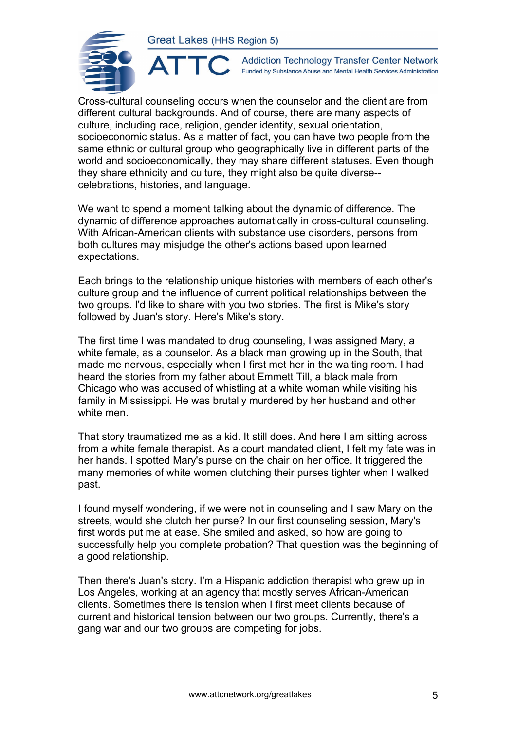

 $\blacktriangle^-$ 

**Addiction Technology Transfer Center Network** Funded by Substance Abuse and Mental Health Services Administration

Cross-cultural counseling occurs when the counselor and the client are from different cultural backgrounds. And of course, there are many aspects of culture, including race, religion, gender identity, sexual orientation, socioeconomic status. As a matter of fact, you can have two people from the same ethnic or cultural group who geographically live in different parts of the world and socioeconomically, they may share different statuses. Even though they share ethnicity and culture, they might also be quite diverse- celebrations, histories, and language.

We want to spend a moment talking about the dynamic of difference. The dynamic of difference approaches automatically in cross-cultural counseling. With African-American clients with substance use disorders, persons from both cultures may misjudge the other's actions based upon learned expectations.

Each brings to the relationship unique histories with members of each other's culture group and the influence of current political relationships between the two groups. I'd like to share with you two stories. The first is Mike's story followed by Juan's story. Here's Mike's story.

The first time I was mandated to drug counseling, I was assigned Mary, a white female, as a counselor. As a black man growing up in the South, that made me nervous, especially when I first met her in the waiting room. I had heard the stories from my father about Emmett Till, a black male from Chicago who was accused of whistling at a white woman while visiting his family in Mississippi. He was brutally murdered by her husband and other white men.

That story traumatized me as a kid. It still does. And here I am sitting across from a white female therapist. As a court mandated client, I felt my fate was in her hands. I spotted Mary's purse on the chair on her office. It triggered the many memories of white women clutching their purses tighter when I walked past.

I found myself wondering, if we were not in counseling and I saw Mary on the streets, would she clutch her purse? In our first counseling session, Mary's first words put me at ease. She smiled and asked, so how are going to successfully help you complete probation? That question was the beginning of a good relationship.

Then there's Juan's story. I'm a Hispanic addiction therapist who grew up in Los Angeles, working at an agency that mostly serves African-American clients. Sometimes there is tension when I first meet clients because of current and historical tension between our two groups. Currently, there's a gang war and our two groups are competing for jobs.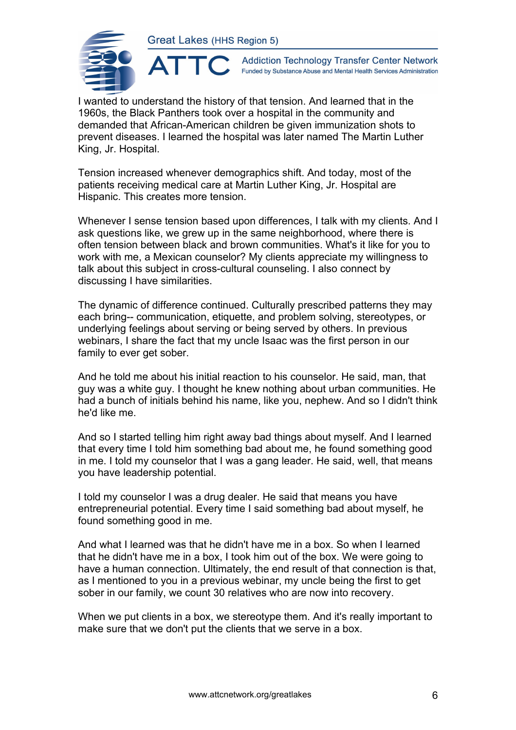

**Addiction Technology Transfer Center Network** Funded by Substance Abuse and Mental Health Services Administration

I wanted to understand the history of that tension. And learned that in the 1960s, the Black Panthers took over a hospital in the community and demanded that African-American children be given immunization shots to prevent diseases. I learned the hospital was later named The Martin Luther King, Jr. Hospital.

Tension increased whenever demographics shift. And today, most of the patients receiving medical care at Martin Luther King, Jr. Hospital are Hispanic. This creates more tension.

Whenever I sense tension based upon differences, I talk with my clients. And I ask questions like, we grew up in the same neighborhood, where there is often tension between black and brown communities. What's it like for you to work with me, a Mexican counselor? My clients appreciate my willingness to talk about this subject in cross-cultural counseling. I also connect by discussing I have similarities.

The dynamic of difference continued. Culturally prescribed patterns they may each bring-- communication, etiquette, and problem solving, stereotypes, or underlying feelings about serving or being served by others. In previous webinars, I share the fact that my uncle Isaac was the first person in our family to ever get sober.

And he told me about his initial reaction to his counselor. He said, man, that guy was a white guy. I thought he knew nothing about urban communities. He had a bunch of initials behind his name, like you, nephew. And so I didn't think he'd like me.

And so I started telling him right away bad things about myself. And I learned that every time I told him something bad about me, he found something good in me. I told my counselor that I was a gang leader. He said, well, that means you have leadership potential.

I told my counselor I was a drug dealer. He said that means you have entrepreneurial potential. Every time I said something bad about myself, he found something good in me.

And what I learned was that he didn't have me in a box. So when I learned that he didn't have me in a box, I took him out of the box. We were going to have a human connection. Ultimately, the end result of that connection is that, as I mentioned to you in a previous webinar, my uncle being the first to get sober in our family, we count 30 relatives who are now into recovery.

When we put clients in a box, we stereotype them. And it's really important to make sure that we don't put the clients that we serve in a box.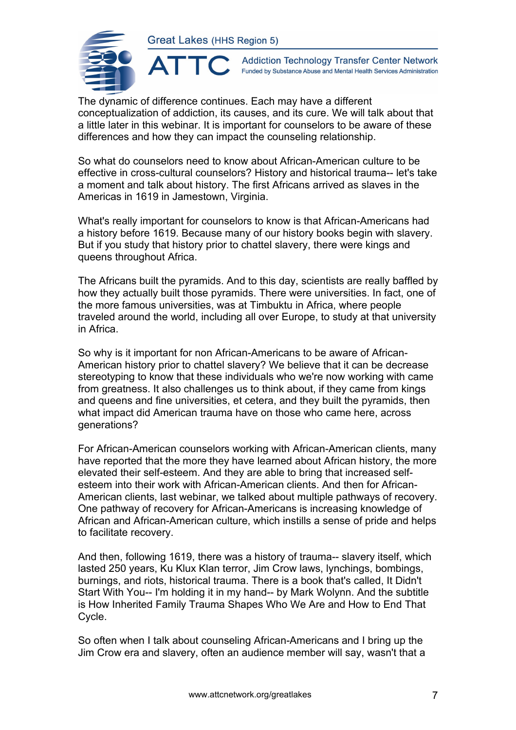AT



**Addiction Technology Transfer Center Network** Funded by Substance Abuse and Mental Health Services Administration

The dynamic of difference continues. Each may have a different conceptualization of addiction, its causes, and its cure. We will talk about that a little later in this webinar. It is important for counselors to be aware of these differences and how they can impact the counseling relationship.

So what do counselors need to know about African-American culture to be effective in cross-cultural counselors? History and historical trauma-- let's take a moment and talk about history. The first Africans arrived as slaves in the Americas in 1619 in Jamestown, Virginia.

What's really important for counselors to know is that African-Americans had a history before 1619. Because many of our history books begin with slavery. But if you study that history prior to chattel slavery, there were kings and queens throughout Africa.

The Africans built the pyramids. And to this day, scientists are really baffled by how they actually built those pyramids. There were universities. In fact, one of the more famous universities, was at Timbuktu in Africa, where people traveled around the world, including all over Europe, to study at that university in Africa.

So why is it important for non African-Americans to be aware of African-American history prior to chattel slavery? We believe that it can be decrease stereotyping to know that these individuals who we're now working with came from greatness. It also challenges us to think about, if they came from kings and queens and fine universities, et cetera, and they built the pyramids, then what impact did American trauma have on those who came here, across generations?

For African-American counselors working with African-American clients, many have reported that the more they have learned about African history, the more elevated their self-esteem. And they are able to bring that increased selfesteem into their work with African-American clients. And then for African-American clients, last webinar, we talked about multiple pathways of recovery. One pathway of recovery for African-Americans is increasing knowledge of African and African-American culture, which instills a sense of pride and helps to facilitate recovery.

And then, following 1619, there was a history of trauma-- slavery itself, which lasted 250 years, Ku Klux Klan terror, Jim Crow laws, lynchings, bombings, burnings, and riots, historical trauma. There is a book that's called, It Didn't Start With You-- I'm holding it in my hand-- by Mark Wolynn. And the subtitle is How Inherited Family Trauma Shapes Who We Are and How to End That Cycle.

So often when I talk about counseling African-Americans and I bring up the Jim Crow era and slavery, often an audience member will say, wasn't that a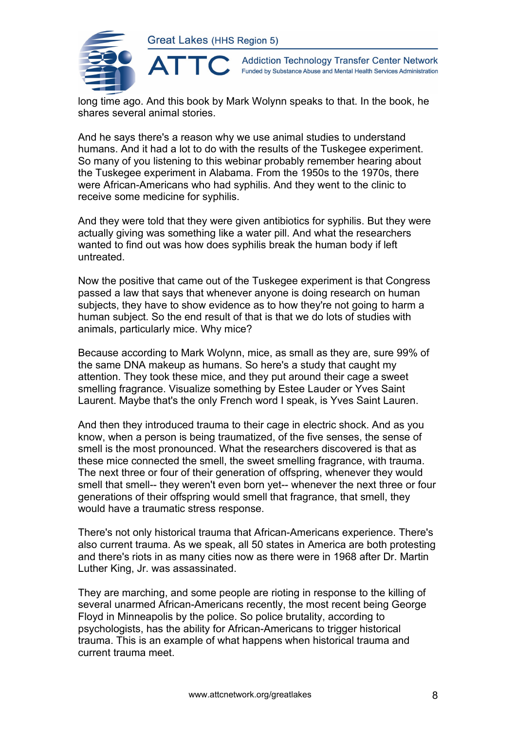

**Addiction Technology Transfer Center Network** Funded by Substance Abuse and Mental Health Services Administration

long time ago. And this book by Mark Wolynn speaks to that. In the book, he shares several animal stories.

And he says there's a reason why we use animal studies to understand humans. And it had a lot to do with the results of the Tuskegee experiment. So many of you listening to this webinar probably remember hearing about the Tuskegee experiment in Alabama. From the 1950s to the 1970s, there were African-Americans who had syphilis. And they went to the clinic to receive some medicine for syphilis.

And they were told that they were given antibiotics for syphilis. But they were actually giving was something like a water pill. And what the researchers wanted to find out was how does syphilis break the human body if left untreated.

Now the positive that came out of the Tuskegee experiment is that Congress passed a law that says that whenever anyone is doing research on human subjects, they have to show evidence as to how they're not going to harm a human subject. So the end result of that is that we do lots of studies with animals, particularly mice. Why mice?

Because according to Mark Wolynn, mice, as small as they are, sure 99% of the same DNA makeup as humans. So here's a study that caught my attention. They took these mice, and they put around their cage a sweet smelling fragrance. Visualize something by Estee Lauder or Yves Saint Laurent. Maybe that's the only French word I speak, is Yves Saint Lauren.

And then they introduced trauma to their cage in electric shock. And as you know, when a person is being traumatized, of the five senses, the sense of smell is the most pronounced. What the researchers discovered is that as these mice connected the smell, the sweet smelling fragrance, with trauma. The next three or four of their generation of offspring, whenever they would smell that smell-- they weren't even born yet-- whenever the next three or four generations of their offspring would smell that fragrance, that smell, they would have a traumatic stress response.

There's not only historical trauma that African-Americans experience. There's also current trauma. As we speak, all 50 states in America are both protesting and there's riots in as many cities now as there were in 1968 after Dr. Martin Luther King, Jr. was assassinated.

They are marching, and some people are rioting in response to the killing of several unarmed African-Americans recently, the most recent being George Floyd in Minneapolis by the police. So police brutality, according to psychologists, has the ability for African-Americans to trigger historical trauma. This is an example of what happens when historical trauma and current trauma meet.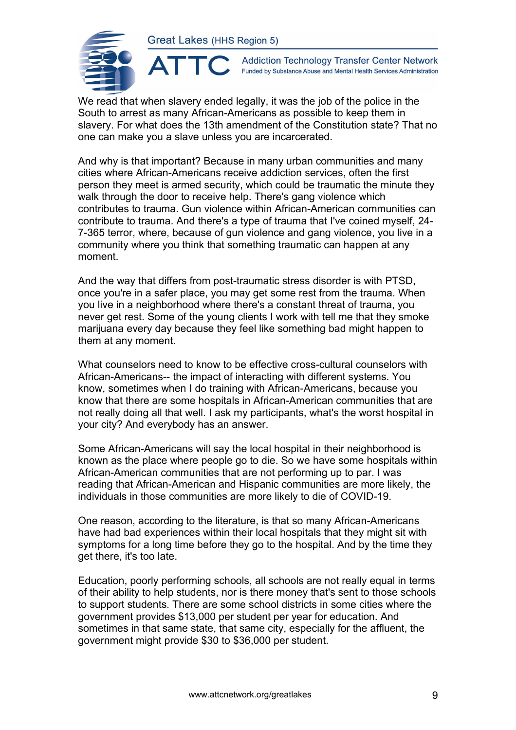

 $\blacktriangle^-$ 

**Addiction Technology Transfer Center Network** Funded by Substance Abuse and Mental Health Services Administration

We read that when slavery ended legally, it was the job of the police in the South to arrest as many African-Americans as possible to keep them in slavery. For what does the 13th amendment of the Constitution state? That no one can make you a slave unless you are incarcerated.

And why is that important? Because in many urban communities and many cities where African-Americans receive addiction services, often the first person they meet is armed security, which could be traumatic the minute they walk through the door to receive help. There's gang violence which contributes to trauma. Gun violence within African-American communities can contribute to trauma. And there's a type of trauma that I've coined myself, 24- 7-365 terror, where, because of gun violence and gang violence, you live in a community where you think that something traumatic can happen at any moment.

And the way that differs from post-traumatic stress disorder is with PTSD, once you're in a safer place, you may get some rest from the trauma. When you live in a neighborhood where there's a constant threat of trauma, you never get rest. Some of the young clients I work with tell me that they smoke marijuana every day because they feel like something bad might happen to them at any moment.

What counselors need to know to be effective cross-cultural counselors with African-Americans-- the impact of interacting with different systems. You know, sometimes when I do training with African-Americans, because you know that there are some hospitals in African-American communities that are not really doing all that well. I ask my participants, what's the worst hospital in your city? And everybody has an answer.

Some African-Americans will say the local hospital in their neighborhood is known as the place where people go to die. So we have some hospitals within African-American communities that are not performing up to par. I was reading that African-American and Hispanic communities are more likely, the individuals in those communities are more likely to die of COVID-19.

One reason, according to the literature, is that so many African-Americans have had bad experiences within their local hospitals that they might sit with symptoms for a long time before they go to the hospital. And by the time they get there, it's too late.

Education, poorly performing schools, all schools are not really equal in terms of their ability to help students, nor is there money that's sent to those schools to support students. There are some school districts in some cities where the government provides \$13,000 per student per year for education. And sometimes in that same state, that same city, especially for the affluent, the government might provide \$30 to \$36,000 per student.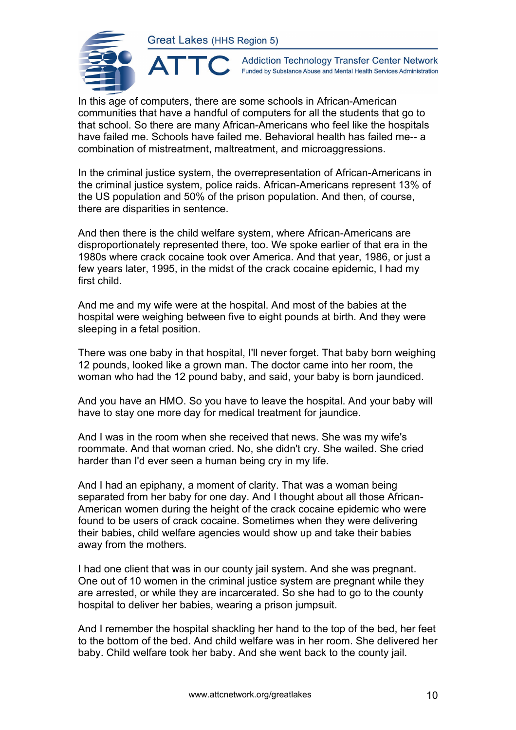

**Addiction Technology Transfer Center Network** Funded by Substance Abuse and Mental Health Services Administration

In this age of computers, there are some schools in African-American communities that have a handful of computers for all the students that go to that school. So there are many African-Americans who feel like the hospitals have failed me. Schools have failed me. Behavioral health has failed me-- a combination of mistreatment, maltreatment, and microaggressions.

In the criminal justice system, the overrepresentation of African-Americans in the criminal justice system, police raids. African-Americans represent 13% of the US population and 50% of the prison population. And then, of course, there are disparities in sentence.

And then there is the child welfare system, where African-Americans are disproportionately represented there, too. We spoke earlier of that era in the 1980s where crack cocaine took over America. And that year, 1986, or just a few years later, 1995, in the midst of the crack cocaine epidemic, I had my first child.

And me and my wife were at the hospital. And most of the babies at the hospital were weighing between five to eight pounds at birth. And they were sleeping in a fetal position.

There was one baby in that hospital, I'll never forget. That baby born weighing 12 pounds, looked like a grown man. The doctor came into her room, the woman who had the 12 pound baby, and said, your baby is born jaundiced.

And you have an HMO. So you have to leave the hospital. And your baby will have to stay one more day for medical treatment for jaundice.

And I was in the room when she received that news. She was my wife's roommate. And that woman cried. No, she didn't cry. She wailed. She cried harder than I'd ever seen a human being cry in my life.

And I had an epiphany, a moment of clarity. That was a woman being separated from her baby for one day. And I thought about all those African-American women during the height of the crack cocaine epidemic who were found to be users of crack cocaine. Sometimes when they were delivering their babies, child welfare agencies would show up and take their babies away from the mothers.

I had one client that was in our county jail system. And she was pregnant. One out of 10 women in the criminal justice system are pregnant while they are arrested, or while they are incarcerated. So she had to go to the county hospital to deliver her babies, wearing a prison jumpsuit.

And I remember the hospital shackling her hand to the top of the bed, her feet to the bottom of the bed. And child welfare was in her room. She delivered her baby. Child welfare took her baby. And she went back to the county jail.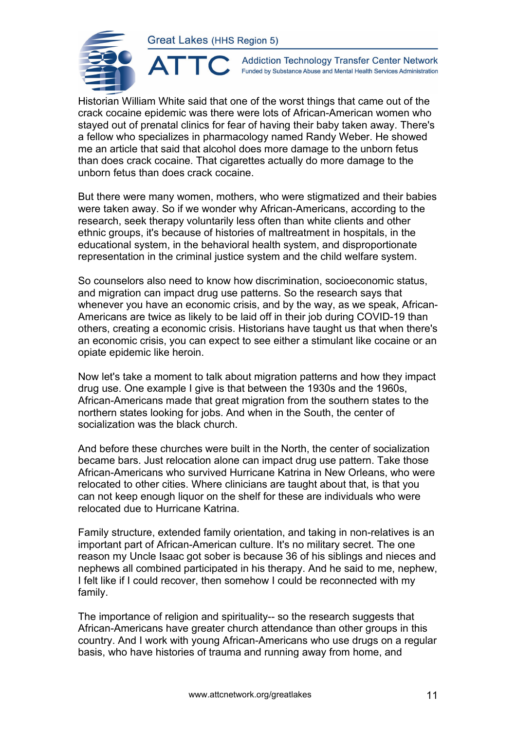ATTO



**Addiction Technology Transfer Center Network** Funded by Substance Abuse and Mental Health Services Administration

Historian William White said that one of the worst things that came out of the crack cocaine epidemic was there were lots of African-American women who stayed out of prenatal clinics for fear of having their baby taken away. There's a fellow who specializes in pharmacology named Randy Weber. He showed me an article that said that alcohol does more damage to the unborn fetus than does crack cocaine. That cigarettes actually do more damage to the unborn fetus than does crack cocaine.

But there were many women, mothers, who were stigmatized and their babies were taken away. So if we wonder why African-Americans, according to the research, seek therapy voluntarily less often than white clients and other ethnic groups, it's because of histories of maltreatment in hospitals, in the educational system, in the behavioral health system, and disproportionate representation in the criminal justice system and the child welfare system.

So counselors also need to know how discrimination, socioeconomic status, and migration can impact drug use patterns. So the research says that whenever you have an economic crisis, and by the way, as we speak, African-Americans are twice as likely to be laid off in their job during COVID-19 than others, creating a economic crisis. Historians have taught us that when there's an economic crisis, you can expect to see either a stimulant like cocaine or an opiate epidemic like heroin.

Now let's take a moment to talk about migration patterns and how they impact drug use. One example I give is that between the 1930s and the 1960s, African-Americans made that great migration from the southern states to the northern states looking for jobs. And when in the South, the center of socialization was the black church.

And before these churches were built in the North, the center of socialization became bars. Just relocation alone can impact drug use pattern. Take those African-Americans who survived Hurricane Katrina in New Orleans, who were relocated to other cities. Where clinicians are taught about that, is that you can not keep enough liquor on the shelf for these are individuals who were relocated due to Hurricane Katrina.

Family structure, extended family orientation, and taking in non-relatives is an important part of African-American culture. It's no military secret. The one reason my Uncle Isaac got sober is because 36 of his siblings and nieces and nephews all combined participated in his therapy. And he said to me, nephew, I felt like if I could recover, then somehow I could be reconnected with my family.

The importance of religion and spirituality-- so the research suggests that African-Americans have greater church attendance than other groups in this country. And I work with young African-Americans who use drugs on a regular basis, who have histories of trauma and running away from home, and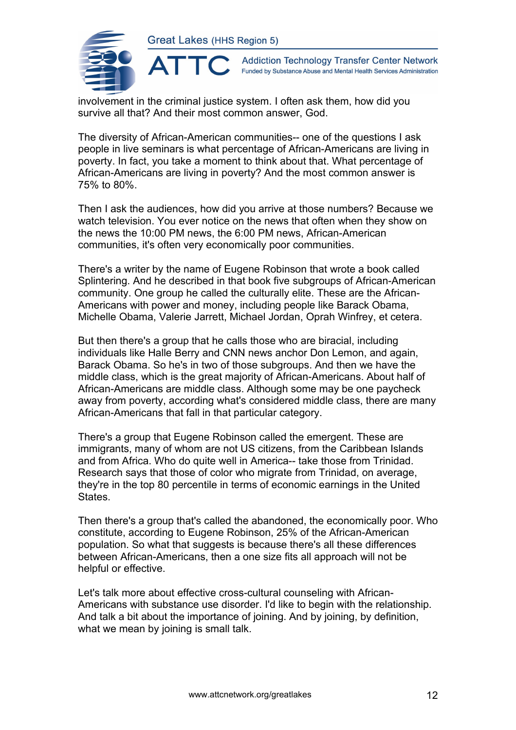

**Addiction Technology Transfer Center Network** Funded by Substance Abuse and Mental Health Services Administration

involvement in the criminal justice system. I often ask them, how did you survive all that? And their most common answer, God.

The diversity of African-American communities-- one of the questions I ask people in live seminars is what percentage of African-Americans are living in poverty. In fact, you take a moment to think about that. What percentage of African-Americans are living in poverty? And the most common answer is 75% to 80%.

Then I ask the audiences, how did you arrive at those numbers? Because we watch television. You ever notice on the news that often when they show on the news the 10:00 PM news, the 6:00 PM news, African-American communities, it's often very economically poor communities.

There's a writer by the name of Eugene Robinson that wrote a book called Splintering. And he described in that book five subgroups of African-American community. One group he called the culturally elite. These are the African-Americans with power and money, including people like Barack Obama, Michelle Obama, Valerie Jarrett, Michael Jordan, Oprah Winfrey, et cetera.

But then there's a group that he calls those who are biracial, including individuals like Halle Berry and CNN news anchor Don Lemon, and again, Barack Obama. So he's in two of those subgroups. And then we have the middle class, which is the great majority of African-Americans. About half of African-Americans are middle class. Although some may be one paycheck away from poverty, according what's considered middle class, there are many African-Americans that fall in that particular category.

There's a group that Eugene Robinson called the emergent. These are immigrants, many of whom are not US citizens, from the Caribbean Islands and from Africa. Who do quite well in America-- take those from Trinidad. Research says that those of color who migrate from Trinidad, on average, they're in the top 80 percentile in terms of economic earnings in the United States.

Then there's a group that's called the abandoned, the economically poor. Who constitute, according to Eugene Robinson, 25% of the African-American population. So what that suggests is because there's all these differences between African-Americans, then a one size fits all approach will not be helpful or effective.

Let's talk more about effective cross-cultural counseling with African-Americans with substance use disorder. I'd like to begin with the relationship. And talk a bit about the importance of joining. And by joining, by definition, what we mean by joining is small talk.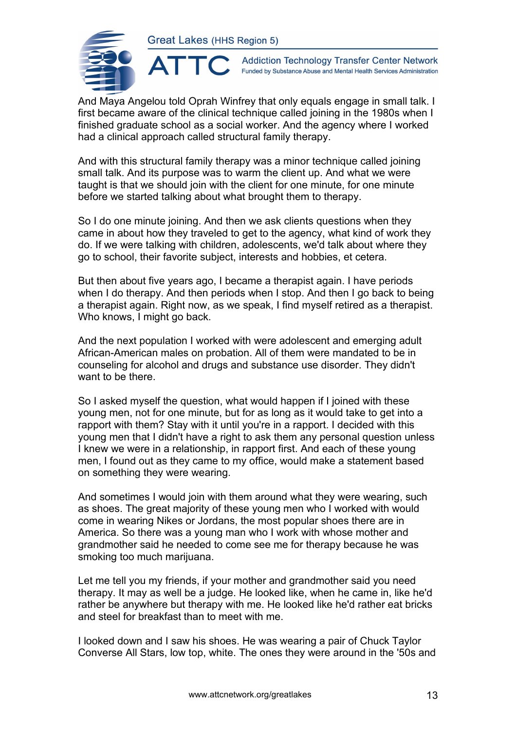

**Addiction Technology Transfer Center Network** Funded by Substance Abuse and Mental Health Services Administration

And Maya Angelou told Oprah Winfrey that only equals engage in small talk. I first became aware of the clinical technique called joining in the 1980s when I finished graduate school as a social worker. And the agency where I worked had a clinical approach called structural family therapy.

And with this structural family therapy was a minor technique called joining small talk. And its purpose was to warm the client up. And what we were taught is that we should join with the client for one minute, for one minute before we started talking about what brought them to therapy.

So I do one minute joining. And then we ask clients questions when they came in about how they traveled to get to the agency, what kind of work they do. If we were talking with children, adolescents, we'd talk about where they go to school, their favorite subject, interests and hobbies, et cetera.

But then about five years ago, I became a therapist again. I have periods when I do therapy. And then periods when I stop. And then I go back to being a therapist again. Right now, as we speak, I find myself retired as a therapist. Who knows, I might go back.

And the next population I worked with were adolescent and emerging adult African-American males on probation. All of them were mandated to be in counseling for alcohol and drugs and substance use disorder. They didn't want to be there.

So I asked myself the question, what would happen if I joined with these young men, not for one minute, but for as long as it would take to get into a rapport with them? Stay with it until you're in a rapport. I decided with this young men that I didn't have a right to ask them any personal question unless I knew we were in a relationship, in rapport first. And each of these young men, I found out as they came to my office, would make a statement based on something they were wearing.

And sometimes I would join with them around what they were wearing, such as shoes. The great majority of these young men who I worked with would come in wearing Nikes or Jordans, the most popular shoes there are in America. So there was a young man who I work with whose mother and grandmother said he needed to come see me for therapy because he was smoking too much marijuana.

Let me tell you my friends, if your mother and grandmother said you need therapy. It may as well be a judge. He looked like, when he came in, like he'd rather be anywhere but therapy with me. He looked like he'd rather eat bricks and steel for breakfast than to meet with me.

I looked down and I saw his shoes. He was wearing a pair of Chuck Taylor Converse All Stars, low top, white. The ones they were around in the '50s and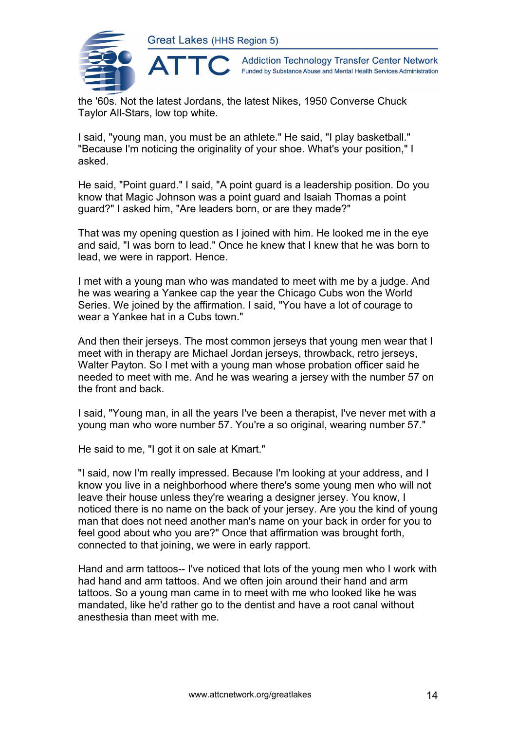

**Addiction Technology Transfer Center Network** Funded by Substance Abuse and Mental Health Services Administration

the '60s. Not the latest Jordans, the latest Nikes, 1950 Converse Chuck Taylor All-Stars, low top white.

I said, "young man, you must be an athlete." He said, "I play basketball." "Because I'm noticing the originality of your shoe. What's your position," I asked.

He said, "Point guard." I said, "A point guard is a leadership position. Do you know that Magic Johnson was a point guard and Isaiah Thomas a point guard?" I asked him, "Are leaders born, or are they made?"

That was my opening question as I joined with him. He looked me in the eye and said, "I was born to lead." Once he knew that I knew that he was born to lead, we were in rapport. Hence.

I met with a young man who was mandated to meet with me by a judge. And he was wearing a Yankee cap the year the Chicago Cubs won the World Series. We joined by the affirmation. I said, "You have a lot of courage to wear a Yankee hat in a Cubs town."

And then their jerseys. The most common jerseys that young men wear that I meet with in therapy are Michael Jordan jerseys, throwback, retro jerseys, Walter Payton. So I met with a young man whose probation officer said he needed to meet with me. And he was wearing a jersey with the number 57 on the front and back.

I said, "Young man, in all the years I've been a therapist, I've never met with a young man who wore number 57. You're a so original, wearing number 57."

He said to me, "I got it on sale at Kmart."

"I said, now I'm really impressed. Because I'm looking at your address, and I know you live in a neighborhood where there's some young men who will not leave their house unless they're wearing a designer jersey. You know, I noticed there is no name on the back of your jersey. Are you the kind of young man that does not need another man's name on your back in order for you to feel good about who you are?" Once that affirmation was brought forth, connected to that joining, we were in early rapport.

Hand and arm tattoos-- I've noticed that lots of the young men who I work with had hand and arm tattoos. And we often join around their hand and arm tattoos. So a young man came in to meet with me who looked like he was mandated, like he'd rather go to the dentist and have a root canal without anesthesia than meet with me.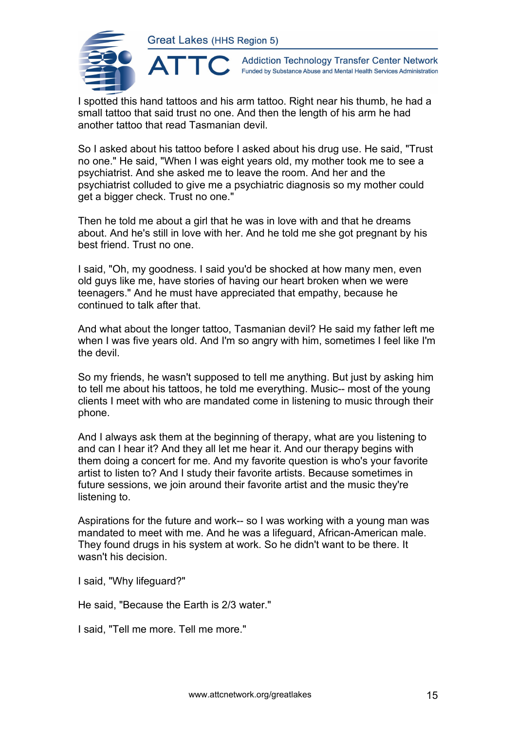ATT(



**Addiction Technology Transfer Center Network** Funded by Substance Abuse and Mental Health Services Administration

I spotted this hand tattoos and his arm tattoo. Right near his thumb, he had a small tattoo that said trust no one. And then the length of his arm he had another tattoo that read Tasmanian devil.

So I asked about his tattoo before I asked about his drug use. He said, "Trust no one." He said, "When I was eight years old, my mother took me to see a psychiatrist. And she asked me to leave the room. And her and the psychiatrist colluded to give me a psychiatric diagnosis so my mother could get a bigger check. Trust no one."

Then he told me about a girl that he was in love with and that he dreams about. And he's still in love with her. And he told me she got pregnant by his best friend. Trust no one.

I said, "Oh, my goodness. I said you'd be shocked at how many men, even old guys like me, have stories of having our heart broken when we were teenagers." And he must have appreciated that empathy, because he continued to talk after that.

And what about the longer tattoo, Tasmanian devil? He said my father left me when I was five years old. And I'm so angry with him, sometimes I feel like I'm the devil.

So my friends, he wasn't supposed to tell me anything. But just by asking him to tell me about his tattoos, he told me everything. Music-- most of the young clients I meet with who are mandated come in listening to music through their phone.

And I always ask them at the beginning of therapy, what are you listening to and can I hear it? And they all let me hear it. And our therapy begins with them doing a concert for me. And my favorite question is who's your favorite artist to listen to? And I study their favorite artists. Because sometimes in future sessions, we join around their favorite artist and the music they're listening to.

Aspirations for the future and work-- so I was working with a young man was mandated to meet with me. And he was a lifeguard, African-American male. They found drugs in his system at work. So he didn't want to be there. It wasn't his decision.

I said, "Why lifeguard?"

He said, "Because the Earth is 2/3 water."

I said, "Tell me more. Tell me more."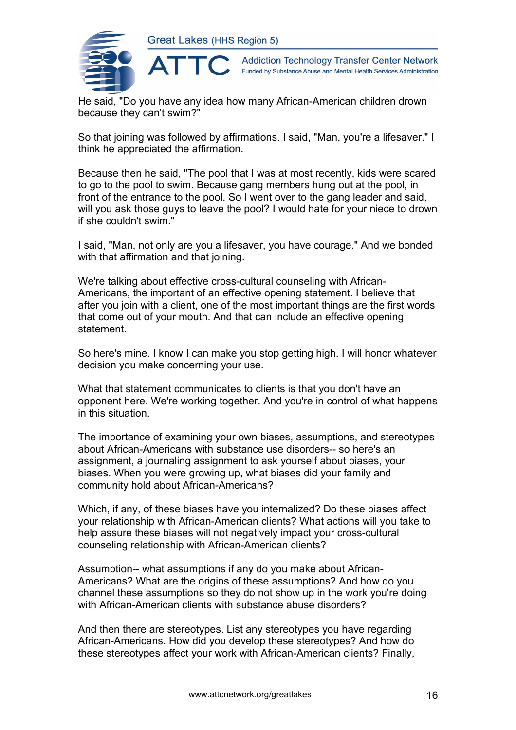

**Addiction Technology Transfer Center Network** Funded by Substance Abuse and Mental Health Services Administration

He said, "Do you have any idea how many African-American children drown because they can't swim?"

So that joining was followed by affirmations. I said, "Man, you're a lifesaver." I think he appreciated the affirmation.

Because then he said, "The pool that I was at most recently, kids were scared to go to the pool to swim. Because gang members hung out at the pool, in front of the entrance to the pool. So I went over to the gang leader and said, will you ask those guys to leave the pool? I would hate for your niece to drown if she couldn't swim."

I said, "Man, not only are you a lifesaver, you have courage." And we bonded with that affirmation and that joining.

We're talking about effective cross-cultural counseling with African-Americans, the important of an effective opening statement. I believe that after you join with a client, one of the most important things are the first words that come out of your mouth. And that can include an effective opening statement.

So here's mine. I know I can make you stop getting high. I will honor whatever decision you make concerning your use.

What that statement communicates to clients is that you don't have an opponent here. We're working together. And you're in control of what happens in this situation.

The importance of examining your own biases, assumptions, and stereotypes about African-Americans with substance use disorders-- so here's an assignment, a journaling assignment to ask yourself about biases, your biases. When you were growing up, what biases did your family and community hold about African-Americans?

Which, if any, of these biases have you internalized? Do these biases affect your relationship with African-American clients? What actions will you take to help assure these biases will not negatively impact your cross-cultural counseling relationship with African-American clients?

Assumption-- what assumptions if any do you make about African-Americans? What are the origins of these assumptions? And how do you channel these assumptions so they do not show up in the work you're doing with African-American clients with substance abuse disorders?

And then there are stereotypes. List any stereotypes you have regarding African-Americans. How did you develop these stereotypes? And how do these stereotypes affect your work with African-American clients? Finally,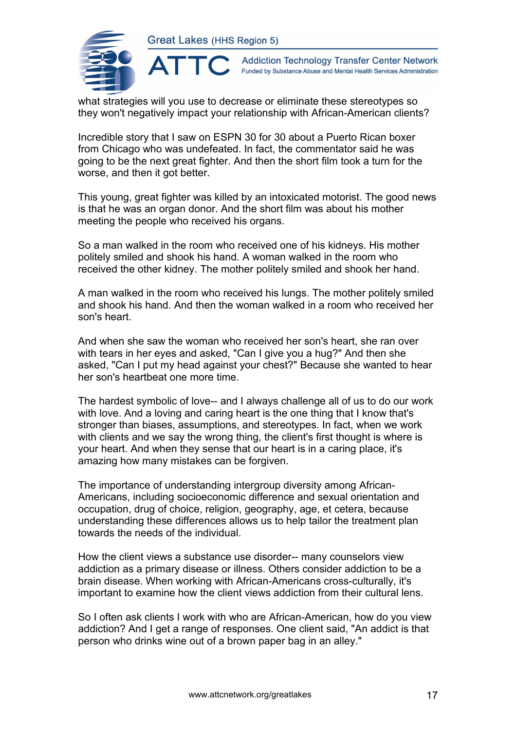

**Addiction Technology Transfer Center Network** Funded by Substance Abuse and Mental Health Services Administration

what strategies will you use to decrease or eliminate these stereotypes so they won't negatively impact your relationship with African-American clients?

Incredible story that I saw on ESPN 30 for 30 about a Puerto Rican boxer from Chicago who was undefeated. In fact, the commentator said he was going to be the next great fighter. And then the short film took a turn for the worse, and then it got better.

This young, great fighter was killed by an intoxicated motorist. The good news is that he was an organ donor. And the short film was about his mother meeting the people who received his organs.

So a man walked in the room who received one of his kidneys. His mother politely smiled and shook his hand. A woman walked in the room who received the other kidney. The mother politely smiled and shook her hand.

A man walked in the room who received his lungs. The mother politely smiled and shook his hand. And then the woman walked in a room who received her son's heart.

And when she saw the woman who received her son's heart, she ran over with tears in her eyes and asked, "Can I give you a hug?" And then she asked, "Can I put my head against your chest?" Because she wanted to hear her son's heartbeat one more time.

The hardest symbolic of love-- and I always challenge all of us to do our work with love. And a loving and caring heart is the one thing that I know that's stronger than biases, assumptions, and stereotypes. In fact, when we work with clients and we say the wrong thing, the client's first thought is where is your heart. And when they sense that our heart is in a caring place, it's amazing how many mistakes can be forgiven.

The importance of understanding intergroup diversity among African-Americans, including socioeconomic difference and sexual orientation and occupation, drug of choice, religion, geography, age, et cetera, because understanding these differences allows us to help tailor the treatment plan towards the needs of the individual.

How the client views a substance use disorder-- many counselors view addiction as a primary disease or illness. Others consider addiction to be a brain disease. When working with African-Americans cross-culturally, it's important to examine how the client views addiction from their cultural lens.

So I often ask clients I work with who are African-American, how do you view addiction? And I get a range of responses. One client said, "An addict is that person who drinks wine out of a brown paper bag in an alley."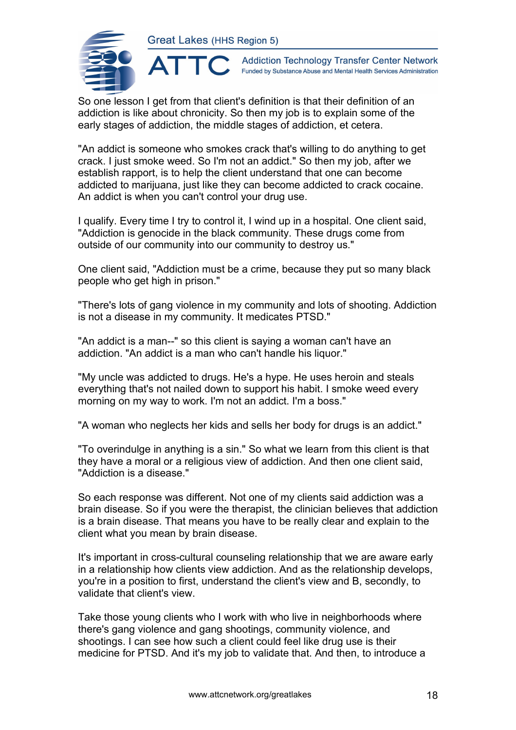AT



**Addiction Technology Transfer Center Network** Funded by Substance Abuse and Mental Health Services Administration

So one lesson I get from that client's definition is that their definition of an addiction is like about chronicity. So then my job is to explain some of the early stages of addiction, the middle stages of addiction, et cetera.

"An addict is someone who smokes crack that's willing to do anything to get crack. I just smoke weed. So I'm not an addict." So then my job, after we establish rapport, is to help the client understand that one can become addicted to marijuana, just like they can become addicted to crack cocaine. An addict is when you can't control your drug use.

I qualify. Every time I try to control it, I wind up in a hospital. One client said, "Addiction is genocide in the black community. These drugs come from outside of our community into our community to destroy us."

One client said, "Addiction must be a crime, because they put so many black people who get high in prison."

"There's lots of gang violence in my community and lots of shooting. Addiction is not a disease in my community. It medicates PTSD."

"An addict is a man--" so this client is saying a woman can't have an addiction. "An addict is a man who can't handle his liquor."

"My uncle was addicted to drugs. He's a hype. He uses heroin and steals everything that's not nailed down to support his habit. I smoke weed every morning on my way to work. I'm not an addict. I'm a boss."

"A woman who neglects her kids and sells her body for drugs is an addict."

"To overindulge in anything is a sin." So what we learn from this client is that they have a moral or a religious view of addiction. And then one client said, "Addiction is a disease."

So each response was different. Not one of my clients said addiction was a brain disease. So if you were the therapist, the clinician believes that addiction is a brain disease. That means you have to be really clear and explain to the client what you mean by brain disease.

It's important in cross-cultural counseling relationship that we are aware early in a relationship how clients view addiction. And as the relationship develops, you're in a position to first, understand the client's view and B, secondly, to validate that client's view.

Take those young clients who I work with who live in neighborhoods where there's gang violence and gang shootings, community violence, and shootings. I can see how such a client could feel like drug use is their medicine for PTSD. And it's my job to validate that. And then, to introduce a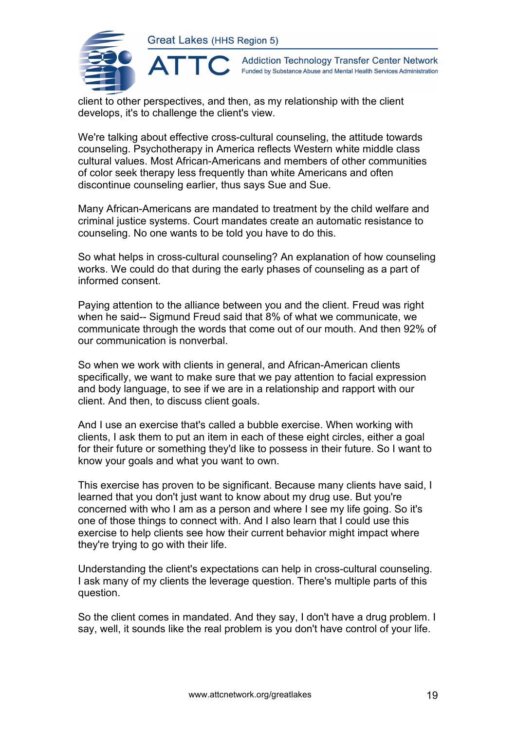

**Addiction Technology Transfer Center Network** Funded by Substance Abuse and Mental Health Services Administration

client to other perspectives, and then, as my relationship with the client develops, it's to challenge the client's view.

We're talking about effective cross-cultural counseling, the attitude towards counseling. Psychotherapy in America reflects Western white middle class cultural values. Most African-Americans and members of other communities of color seek therapy less frequently than white Americans and often discontinue counseling earlier, thus says Sue and Sue.

Many African-Americans are mandated to treatment by the child welfare and criminal justice systems. Court mandates create an automatic resistance to counseling. No one wants to be told you have to do this.

So what helps in cross-cultural counseling? An explanation of how counseling works. We could do that during the early phases of counseling as a part of informed consent.

Paying attention to the alliance between you and the client. Freud was right when he said-- Sigmund Freud said that 8% of what we communicate, we communicate through the words that come out of our mouth. And then 92% of our communication is nonverbal.

So when we work with clients in general, and African-American clients specifically, we want to make sure that we pay attention to facial expression and body language, to see if we are in a relationship and rapport with our client. And then, to discuss client goals.

And I use an exercise that's called a bubble exercise. When working with clients, I ask them to put an item in each of these eight circles, either a goal for their future or something they'd like to possess in their future. So I want to know your goals and what you want to own.

This exercise has proven to be significant. Because many clients have said, I learned that you don't just want to know about my drug use. But you're concerned with who I am as a person and where I see my life going. So it's one of those things to connect with. And I also learn that I could use this exercise to help clients see how their current behavior might impact where they're trying to go with their life.

Understanding the client's expectations can help in cross-cultural counseling. I ask many of my clients the leverage question. There's multiple parts of this question.

So the client comes in mandated. And they say, I don't have a drug problem. I say, well, it sounds like the real problem is you don't have control of your life.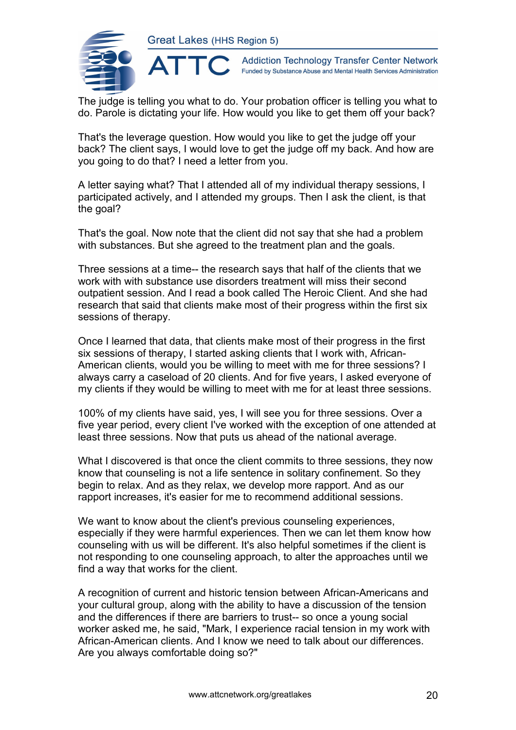

**Addiction Technology Transfer Center Network** Funded by Substance Abuse and Mental Health Services Administration

The judge is telling you what to do. Your probation officer is telling you what to do. Parole is dictating your life. How would you like to get them off your back?

That's the leverage question. How would you like to get the judge off your back? The client says, I would love to get the judge off my back. And how are you going to do that? I need a letter from you.

A letter saying what? That I attended all of my individual therapy sessions, I participated actively, and I attended my groups. Then I ask the client, is that the goal?

That's the goal. Now note that the client did not say that she had a problem with substances. But she agreed to the treatment plan and the goals.

Three sessions at a time-- the research says that half of the clients that we work with with substance use disorders treatment will miss their second outpatient session. And I read a book called The Heroic Client. And she had research that said that clients make most of their progress within the first six sessions of therapy.

Once I learned that data, that clients make most of their progress in the first six sessions of therapy, I started asking clients that I work with, African-American clients, would you be willing to meet with me for three sessions? I always carry a caseload of 20 clients. And for five years, I asked everyone of my clients if they would be willing to meet with me for at least three sessions.

100% of my clients have said, yes, I will see you for three sessions. Over a five year period, every client I've worked with the exception of one attended at least three sessions. Now that puts us ahead of the national average.

What I discovered is that once the client commits to three sessions, they now know that counseling is not a life sentence in solitary confinement. So they begin to relax. And as they relax, we develop more rapport. And as our rapport increases, it's easier for me to recommend additional sessions.

We want to know about the client's previous counseling experiences, especially if they were harmful experiences. Then we can let them know how counseling with us will be different. It's also helpful sometimes if the client is not responding to one counseling approach, to alter the approaches until we find a way that works for the client.

A recognition of current and historic tension between African-Americans and your cultural group, along with the ability to have a discussion of the tension and the differences if there are barriers to trust-- so once a young social worker asked me, he said, "Mark, I experience racial tension in my work with African-American clients. And I know we need to talk about our differences. Are you always comfortable doing so?"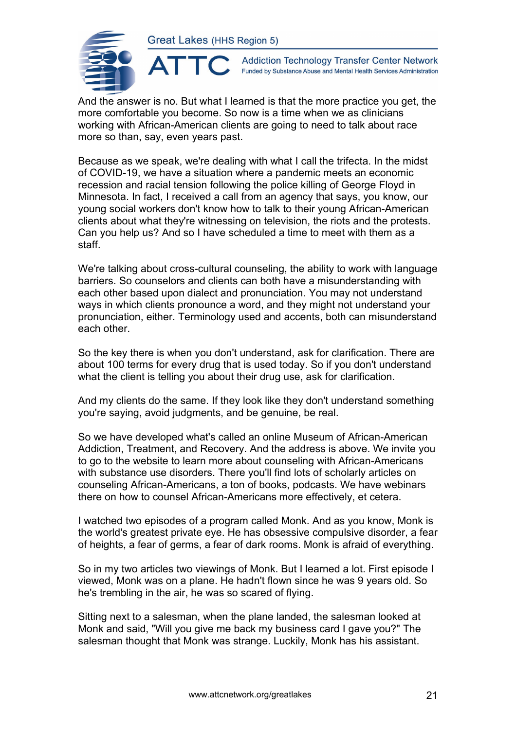

 $\blacktriangle$ 

**Addiction Technology Transfer Center Network** Funded by Substance Abuse and Mental Health Services Administration

And the answer is no. But what I learned is that the more practice you get, the more comfortable you become. So now is a time when we as clinicians working with African-American clients are going to need to talk about race more so than, say, even years past.

Because as we speak, we're dealing with what I call the trifecta. In the midst of COVID-19, we have a situation where a pandemic meets an economic recession and racial tension following the police killing of George Floyd in Minnesota. In fact, I received a call from an agency that says, you know, our young social workers don't know how to talk to their young African-American clients about what they're witnessing on television, the riots and the protests. Can you help us? And so I have scheduled a time to meet with them as a staff.

We're talking about cross-cultural counseling, the ability to work with language barriers. So counselors and clients can both have a misunderstanding with each other based upon dialect and pronunciation. You may not understand ways in which clients pronounce a word, and they might not understand your pronunciation, either. Terminology used and accents, both can misunderstand each other.

So the key there is when you don't understand, ask for clarification. There are about 100 terms for every drug that is used today. So if you don't understand what the client is telling you about their drug use, ask for clarification.

And my clients do the same. If they look like they don't understand something you're saying, avoid judgments, and be genuine, be real.

So we have developed what's called an online Museum of African-American Addiction, Treatment, and Recovery. And the address is above. We invite you to go to the website to learn more about counseling with African-Americans with substance use disorders. There you'll find lots of scholarly articles on counseling African-Americans, a ton of books, podcasts. We have webinars there on how to counsel African-Americans more effectively, et cetera.

I watched two episodes of a program called Monk. And as you know, Monk is the world's greatest private eye. He has obsessive compulsive disorder, a fear of heights, a fear of germs, a fear of dark rooms. Monk is afraid of everything.

So in my two articles two viewings of Monk. But I learned a lot. First episode I viewed, Monk was on a plane. He hadn't flown since he was 9 years old. So he's trembling in the air, he was so scared of flying.

Sitting next to a salesman, when the plane landed, the salesman looked at Monk and said, "Will you give me back my business card I gave you?" The salesman thought that Monk was strange. Luckily, Monk has his assistant.